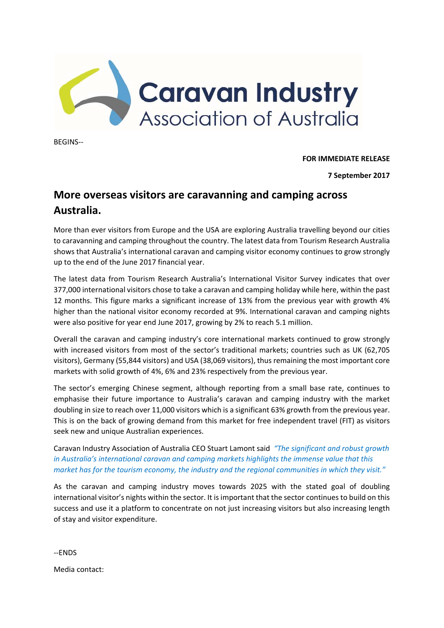

BEGINS‐‐

**FOR IMMEDIATE RELEASE** 

**7 September 2017** 

## **More overseas visitors are caravanning and camping across Australia.**

More than ever visitors from Europe and the USA are exploring Australia travelling beyond our cities to caravanning and camping throughout the country. The latest data from Tourism Research Australia shows that Australia's international caravan and camping visitor economy continues to grow strongly up to the end of the June 2017 financial year.

The latest data from Tourism Research Australia's International Visitor Survey indicates that over 377,000 international visitors chose to take a caravan and camping holiday while here, within the past 12 months. This figure marks a significant increase of 13% from the previous year with growth 4% higher than the national visitor economy recorded at 9%. International caravan and camping nights were also positive for year end June 2017, growing by 2% to reach 5.1 million.

Overall the caravan and camping industry's core international markets continued to grow strongly with increased visitors from most of the sector's traditional markets; countries such as UK (62,705 visitors), Germany (55,844 visitors) and USA (38,069 visitors), thus remaining the most important core markets with solid growth of 4%, 6% and 23% respectively from the previous year.

The sector's emerging Chinese segment, although reporting from a small base rate, continues to emphasise their future importance to Australia's caravan and camping industry with the market doubling in size to reach over 11,000 visitors which is a significant 63% growth from the previous year. This is on the back of growing demand from this market for free independent travel (FIT) as visitors seek new and unique Australian experiences.

Caravan Industry Association of Australia CEO Stuart Lamont said *"The significant and robust growth in Australia's international caravan and camping markets highlights the immense value that this market has for the tourism economy, the industry and the regional communities in which they visit."* 

As the caravan and camping industry moves towards 2025 with the stated goal of doubling international visitor's nights within the sector. It is important that the sector continues to build on this success and use it a platform to concentrate on not just increasing visitors but also increasing length of stay and visitor expenditure.

‐‐ENDS

Media contact: